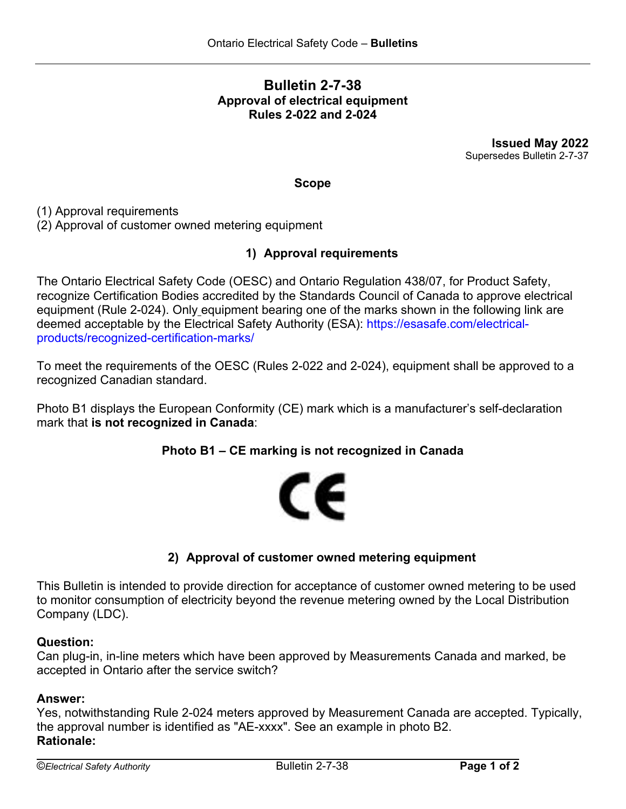# **Bulletin 2-7-38 Approval of electrical equipment Rules 2-022 and 2-024**

**Issued May 2022** Supersedes Bulletin 2-7-37

### **Scope**

(1) Approval requirements

(2) Approval of customer owned metering equipment

### **1) Approval requirements**

The Ontario Electrical Safety Code (OESC) and Ontario Regulation 438/07, for Product Safety, recognize Certification Bodies accredited by the Standards Council of Canada to approve electrical equipment (Rule 2-024). Only equipment bearing one of the marks shown in the following link are deemed acceptable by the Electrical Safety Authority (ESA): [https://esasafe.com/electrical](https://esasafe.com/electrical-products/recognized-certification-marks/)[products/recognized-certification-marks/](https://esasafe.com/electrical-products/recognized-certification-marks/)

To meet the requirements of the OESC (Rules 2-022 and 2-024), equipment shall be approved to a recognized Canadian standard.

Photo B1 displays the European Conformity (CE) mark which is a manufacturer's self-declaration mark that **is not recognized in Canada**:

### **Photo B1 – CE marking is not recognized in Canada**



## **2) Approval of customer owned metering equipment**

This Bulletin is intended to provide direction for acceptance of customer owned metering to be used to monitor consumption of electricity beyond the revenue metering owned by the Local Distribution Company (LDC).

#### **Question:**

Can plug-in, in-line meters which have been approved by Measurements Canada and marked, be accepted in Ontario after the service switch?

#### **Answer:**

Yes, notwithstanding Rule 2-024 meters approved by Measurement Canada are accepted. Typically, the approval number is identified as "AE-xxxx". See an example in photo B2. **Rationale:**